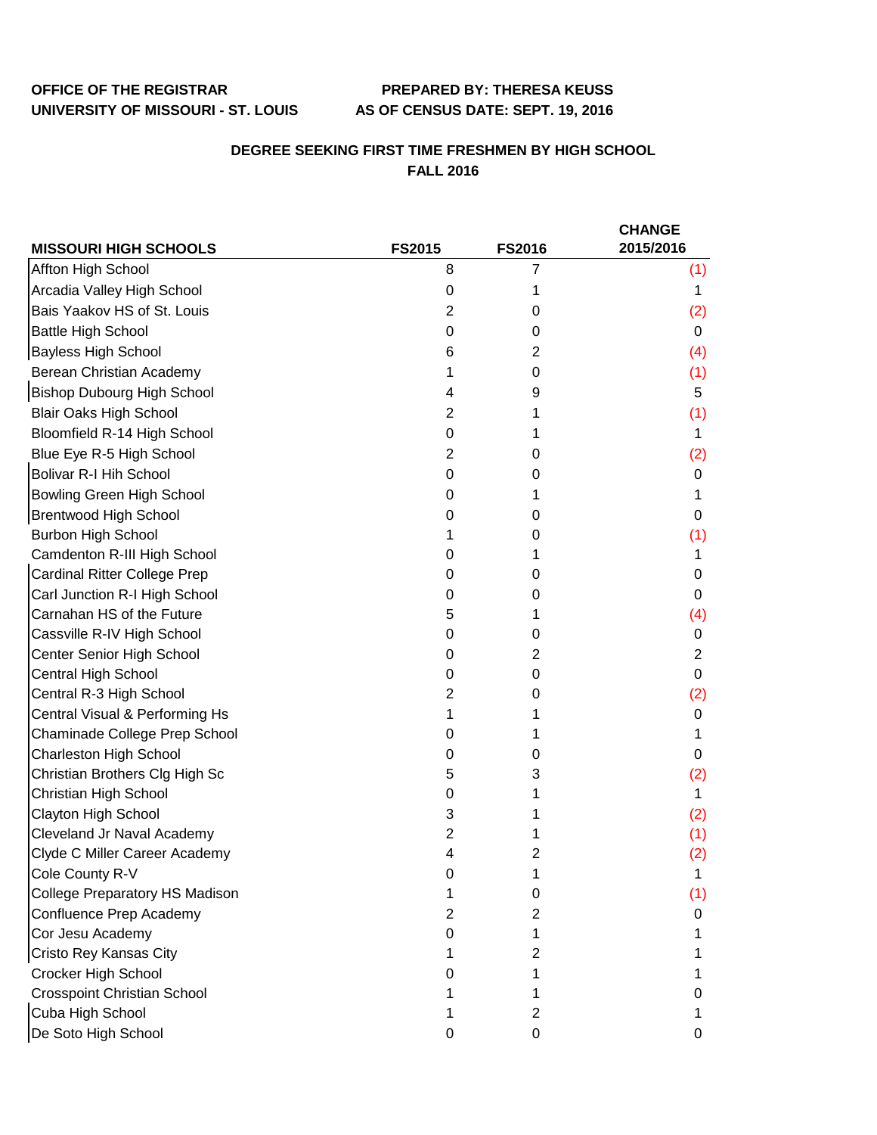## **OFFICE OF THE REGISTRAR PREPARED BY: THERESA KEUSS**

## **DEGREE SEEKING FIRST TIME FRESHMEN BY HIGH SCHOOL FALL 2016**

|                                       |               |               | <b>CHANGE</b>  |
|---------------------------------------|---------------|---------------|----------------|
| <b>MISSOURI HIGH SCHOOLS</b>          | <b>FS2015</b> | <b>FS2016</b> | 2015/2016      |
| Affton High School                    | 8             | 7             | (1)            |
| Arcadia Valley High School            | 0             | 1             | 1              |
| Bais Yaakov HS of St. Louis           | 2             | 0             | (2)            |
| <b>Battle High School</b>             | 0             | 0             | 0              |
| <b>Bayless High School</b>            | 6             | 2             | (4)            |
| Berean Christian Academy              | 1             | 0             | (1)            |
| <b>Bishop Dubourg High School</b>     | 4             | 9             | 5              |
| <b>Blair Oaks High School</b>         | 2             | 1             | (1)            |
| Bloomfield R-14 High School           | 0             |               | 1              |
| Blue Eye R-5 High School              | 2             | 0             | (2)            |
| <b>Bolivar R-I Hih School</b>         | 0             | 0             | 0              |
| <b>Bowling Green High School</b>      | 0             | 1             | 1              |
| <b>Brentwood High School</b>          | 0             | 0             | 0              |
| <b>Burbon High School</b>             | 1             | 0             | (1)            |
| Camdenton R-III High School           | 0             |               | 1              |
| <b>Cardinal Ritter College Prep</b>   | 0             | 0             | 0              |
| Carl Junction R-I High School         | 0             | 0             | 0              |
| Carnahan HS of the Future             | 5             | 1             | (4)            |
| Cassville R-IV High School            | 0             | 0             | 0              |
| Center Senior High School             | 0             | 2             | $\overline{c}$ |
| Central High School                   | 0             | 0             | 0              |
| Central R-3 High School               | 2             | 0             | (2)            |
| Central Visual & Performing Hs        | 1             |               | 0              |
| Chaminade College Prep School         | 0             |               | 1              |
| <b>Charleston High School</b>         | 0             | 0             | 0              |
| Christian Brothers Clg High Sc        | 5             | 3             | (2)            |
| Christian High School                 | 0             |               | 1              |
| Clayton High School                   | 3             |               | (2)            |
| Cleveland Jr Naval Academy            | 2             |               | (1)            |
| Clyde C Miller Career Academy         | 4             | 2             | (2)            |
| Cole County R-V                       | O             |               |                |
| <b>College Preparatory HS Madison</b> |               | 0             | (1)            |
| Confluence Prep Academy               | 2             | 2             | 0              |
| Cor Jesu Academy                      | O             |               |                |
| Cristo Rey Kansas City                |               | 2             |                |
| Crocker High School                   |               |               |                |
| <b>Crosspoint Christian School</b>    |               |               | 0              |
| Cuba High School                      |               | 2             |                |
| De Soto High School                   | 0             | 0             | 0              |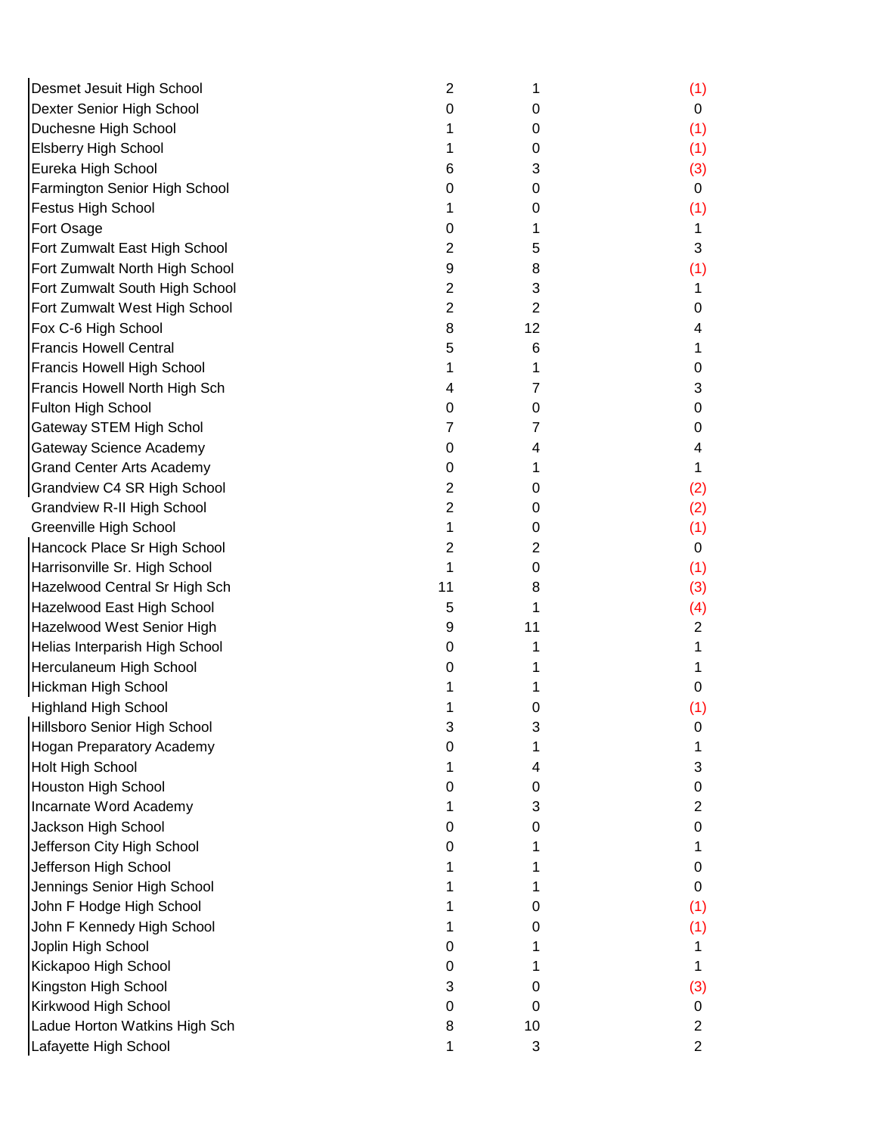| Desmet Jesuit High School         | 2              | 1              | (1)            |
|-----------------------------------|----------------|----------------|----------------|
| Dexter Senior High School         | 0              | 0              | 0              |
| Duchesne High School              |                | 0              | (1)            |
| <b>Elsberry High School</b>       |                | 0              | (1)            |
| Eureka High School                | 6              | 3              | (3)            |
| Farmington Senior High School     | 0              | 0              | 0              |
| <b>Festus High School</b>         |                | 0              | (1)            |
| Fort Osage                        | 0              | 1              | 1              |
| Fort Zumwalt East High School     | 2              | 5              | 3              |
| Fort Zumwalt North High School    | 9              | 8              | (1)            |
| Fort Zumwalt South High School    | 2              | 3              | 1              |
| Fort Zumwalt West High School     | $\overline{2}$ | $\overline{2}$ | 0              |
| Fox C-6 High School               | 8              | 12             | 4              |
| <b>Francis Howell Central</b>     | 5              | 6              |                |
| Francis Howell High School        |                | 1              | O              |
| Francis Howell North High Sch     | 4              | 7              | 3              |
| Fulton High School                | 0              | 0              | 0              |
| <b>Gateway STEM High Schol</b>    | 7              | 7              | 0              |
| Gateway Science Academy           | 0              | 4              | 4              |
| <b>Grand Center Arts Academy</b>  | 0              | 1              |                |
| Grandview C4 SR High School       | 2              | 0              | (2)            |
| <b>Grandview R-II High School</b> | $\overline{2}$ | 0              | (2)            |
| Greenville High School            | 1              | 0              | (1)            |
| Hancock Place Sr High School      | 2              | 2              | 0              |
| Harrisonville Sr. High School     |                | 0              | (1)            |
| Hazelwood Central Sr High Sch     | 11             | 8              | (3)            |
| Hazelwood East High School        | 5              | 1              | (4)            |
| Hazelwood West Senior High        | 9              | 11             | 2              |
| Helias Interparish High School    | 0              | 1              |                |
| Herculaneum High School           | 0              | 1              |                |
| Hickman High School               |                |                | 0              |
| <b>Highland High School</b>       |                | 0              | (1)            |
| Hillsboro Senior High School      | 3              | 3              | 0              |
| <b>Hogan Preparatory Academy</b>  | 0              | 1              |                |
| Holt High School                  |                | 4              | 3              |
| <b>Houston High School</b>        | O              | 0              | 0              |
| Incarnate Word Academy            |                | 3              | 2              |
| Jackson High School               | 0              | 0              | 0              |
| Jefferson City High School        | 0              |                |                |
| Jefferson High School             |                |                | 0              |
| Jennings Senior High School       |                |                | 0              |
| John F Hodge High School          |                | 0              | (1)            |
| John F Kennedy High School        |                | 0              | (1)            |
| Joplin High School                | 0              |                |                |
| Kickapoo High School              | 0              |                |                |
| Kingston High School              | 3              | 0              | (3)            |
| Kirkwood High School              | 0              | 0              | 0              |
| Ladue Horton Watkins High Sch     | 8              | 10             | 2              |
| Lafayette High School             | 1              | 3              | $\overline{c}$ |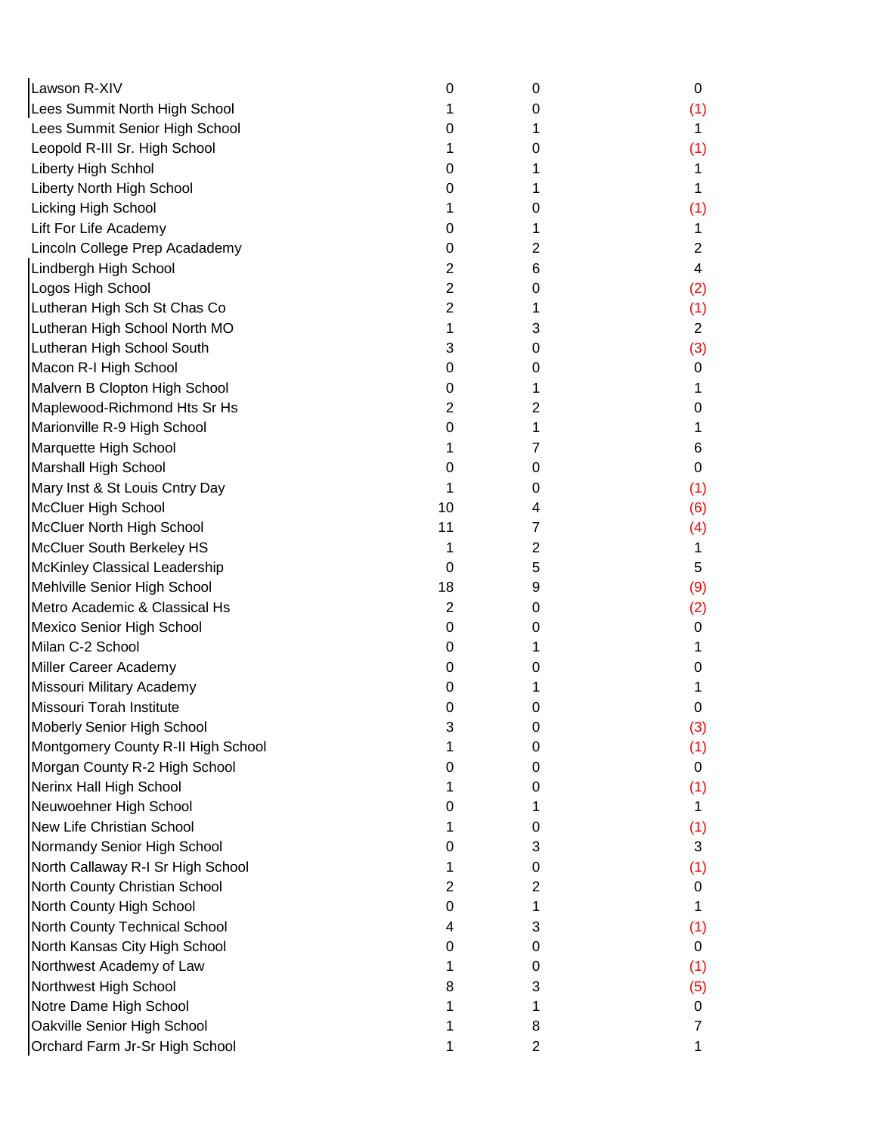| Lawson R-XIV                       | 0              | 0              | 0   |
|------------------------------------|----------------|----------------|-----|
| Lees Summit North High School      |                | 0              | (1) |
| Lees Summit Senior High School     | 0              | 1              | 1   |
| Leopold R-III Sr. High School      |                | 0              | (1) |
| Liberty High Schhol                | 0              | 1              |     |
| Liberty North High School          | 0              |                |     |
| Licking High School                |                | 0              | (1) |
| Lift For Life Academy              | 0              |                |     |
| Lincoln College Prep Acadademy     | 0              | 2              | 2   |
| Lindbergh High School              | 2              | 6              | 4   |
| Logos High School                  | 2              | 0              | (2) |
| Lutheran High Sch St Chas Co       | 2              | 1              | (1) |
| Lutheran High School North MO      | 1              | 3              | 2   |
| Lutheran High School South         | 3              | 0              | (3) |
| Macon R-I High School              | 0              | 0              | 0   |
| Malvern B Clopton High School      | 0              | 1              | 1   |
| Maplewood-Richmond Hts Sr Hs       | 2              | 2              | 0   |
| Marionville R-9 High School        | 0              | 1              |     |
| Marquette High School              |                | 7              | 6   |
| <b>Marshall High School</b>        | 0              | 0              | 0   |
| Mary Inst & St Louis Cntry Day     |                | 0              | (1) |
| <b>McCluer High School</b>         | 10             | 4              | (6) |
| McCluer North High School          | 11             | 7              | (4) |
| McCluer South Berkeley HS          |                | $\overline{2}$ |     |
| McKinley Classical Leadership      | 0              | 5              | 5   |
| Mehlville Senior High School       | 18             | 9              | (9) |
| Metro Academic & Classical Hs      | $\overline{2}$ | 0              | (2) |
| Mexico Senior High School          | 0              | 0              | 0   |
| Milan C-2 School                   | 0              | 1              |     |
| Miller Career Academy              | 0              | 0              | Ω   |
| Missouri Military Academy          | 0              |                |     |
| Missouri Torah Institute           | 0              | 0              | 0   |
| Moberly Senior High School         | 3              | 0              | (3) |
| Montgomery County R-II High School |                | 0              | (1) |
| Morgan County R-2 High School      |                | 0              | 0   |
| Nerinx Hall High School            |                | 0              | (1) |
| Neuwoehner High School             |                | 1              | 1   |
| <b>New Life Christian School</b>   |                | 0              | (1) |
| Normandy Senior High School        | Ω              | 3              | 3   |
| North Callaway R-I Sr High School  |                | 0              | (1) |
| North County Christian School      | 2              | 2              | 0   |
| North County High School           | 0              | 1              |     |
| North County Technical School      | 4              | 3              | (1) |
| North Kansas City High School      | 0              | 0              | 0   |
| Northwest Academy of Law           |                | 0              | (1) |
| Northwest High School              | 8              | 3              | (5) |
| Notre Dame High School             |                |                | 0   |
| Oakville Senior High School        |                | 8              |     |
| Orchard Farm Jr-Sr High School     |                | $\overline{2}$ |     |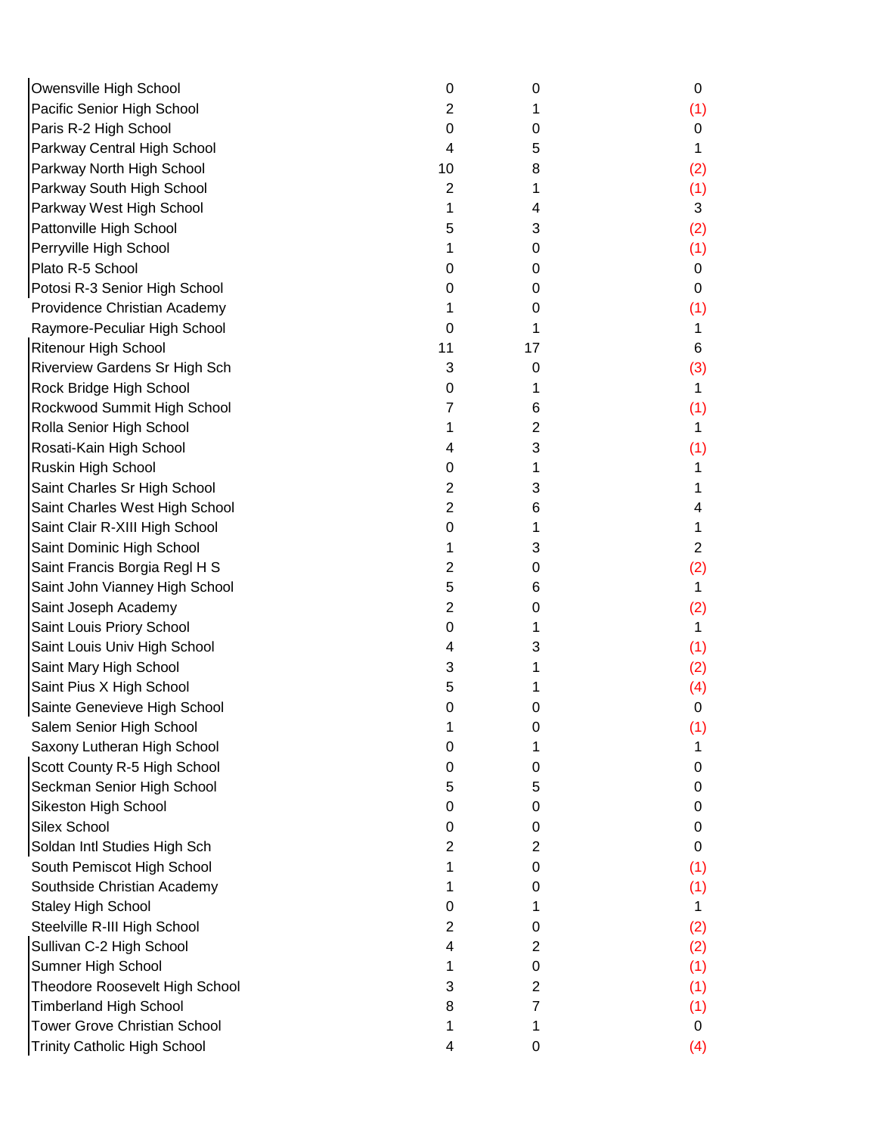| Owensville High School              | 0  | 0  | 0   |
|-------------------------------------|----|----|-----|
| Pacific Senior High School          | 2  |    | (1) |
| Paris R-2 High School               | 0  | 0  | 0   |
| Parkway Central High School         | 4  | 5  | 1   |
| Parkway North High School           | 10 | 8  | (2) |
| Parkway South High School           | 2  | 1  | (1) |
| Parkway West High School            | 1  | 4  | 3   |
| Pattonville High School             | 5  | 3  | (2) |
| Perryville High School              |    | 0  | (1) |
| Plato R-5 School                    | 0  | 0  | 0   |
| Potosi R-3 Senior High School       | 0  | 0  | 0   |
| Providence Christian Academy        |    | 0  | (1) |
| Raymore-Peculiar High School        | 0  | 1  | 1   |
| Ritenour High School                | 11 | 17 | 6   |
| Riverview Gardens Sr High Sch       | 3  | 0  | (3) |
| Rock Bridge High School             | 0  | 1  | 1   |
| Rockwood Summit High School         | 7  | 6  | (1) |
| Rolla Senior High School            |    | 2  | 1.  |
| Rosati-Kain High School             | 4  | 3  | (1) |
| Ruskin High School                  | 0  |    |     |
| Saint Charles Sr High School        | 2  | 3  |     |
| Saint Charles West High School      | 2  | 6  | 4   |
| Saint Clair R-XIII High School      | 0  |    |     |
| Saint Dominic High School           |    | 3  | 2   |
| Saint Francis Borgia Regl H S       | 2  | 0  | (2) |
| Saint John Vianney High School      | 5  | 6  | 1.  |
| Saint Joseph Academy                | 2  | 0  | (2) |
| Saint Louis Priory School           | 0  |    | 1   |
| Saint Louis Univ High School        | 4  | 3  | (1) |
| Saint Mary High School              | 3  |    | (2) |
| Saint Pius X High School            | 5  |    | (4) |
| Sainte Genevieve High School        | 0  | 0  | 0   |
| Salem Senior High School            |    | 0  | (1) |
| Saxony Lutheran High School         | O  |    |     |
| Scott County R-5 High School        | 0  | 0  | O   |
| Seckman Senior High School          | 5  | 5  | 0   |
| Sikeston High School                | 0  | 0  | O   |
| Silex School                        | 0  | 0  | 0   |
| Soldan Intl Studies High Sch        | 2  | 2  | 0   |
| South Pemiscot High School          |    | 0  | (1) |
| Southside Christian Academy         |    | 0  | (1) |
| <b>Staley High School</b>           | 0  |    | 1   |
| Steelville R-III High School        | 2  | 0  | (2) |
| Sullivan C-2 High School            | 4  | 2  | (2) |
| Sumner High School                  | 1  | 0  | (1) |
| Theodore Roosevelt High School      | 3  | 2  | (1) |
| <b>Timberland High School</b>       | 8  | 7  | (1) |
| <b>Tower Grove Christian School</b> | 1  |    | 0   |
| <b>Trinity Catholic High School</b> | 4  | 0  | (4) |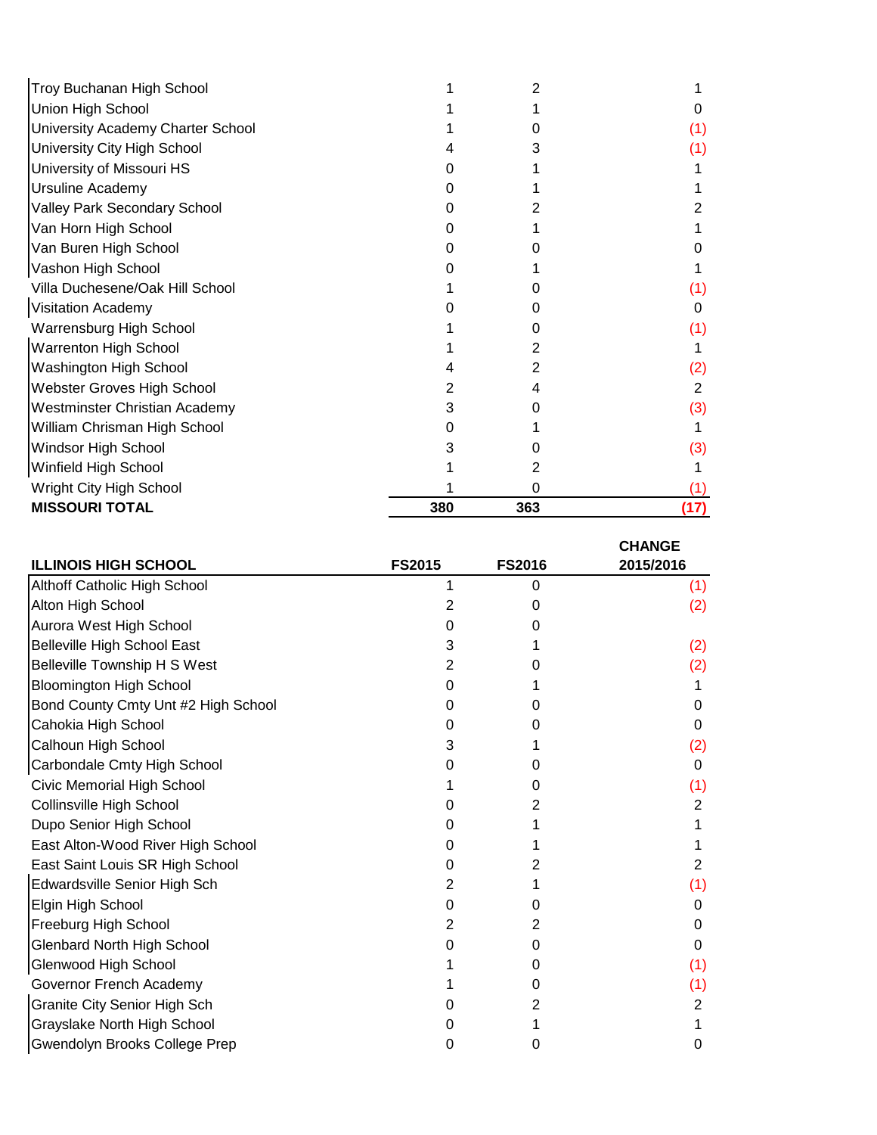| Troy Buchanan High School            |     |     |      |
|--------------------------------------|-----|-----|------|
| Union High School                    |     |     |      |
| University Academy Charter School    |     |     | (1)  |
| University City High School          |     |     |      |
| University of Missouri HS            |     |     |      |
| Ursuline Academy                     |     |     |      |
| Valley Park Secondary School         |     |     |      |
| Van Horn High School                 |     |     |      |
| Van Buren High School                |     |     |      |
| Vashon High School                   |     |     |      |
| Villa Duchesene/Oak Hill School      |     |     |      |
| <b>Visitation Academy</b>            |     |     | 0    |
| Warrensburg High School              |     |     | (1)  |
| Warrenton High School                |     |     |      |
| Washington High School               |     |     | (2)  |
| Webster Groves High School           |     |     | 2    |
| <b>Westminster Christian Academy</b> |     |     | (3)  |
| William Chrisman High School         |     |     |      |
| Windsor High School                  |     |     | (3)  |
| Winfield High School                 |     |     |      |
| Wright City High School              |     |     |      |
| <b>MISSOURI TOTAL</b>                | 380 | 363 | (17) |

|                                     |               |               | <b>CHANGE</b> |
|-------------------------------------|---------------|---------------|---------------|
| <b>ILLINOIS HIGH SCHOOL</b>         | <b>FS2015</b> | <b>FS2016</b> | 2015/2016     |
| Althoff Catholic High School        |               | 0             | (1)           |
| Alton High School                   | 2             |               | (2)           |
| Aurora West High School             | O             |               |               |
| Belleville High School East         | 3             |               | (2)           |
| Belleville Township H S West        | 2             |               | (2)           |
| <b>Bloomington High School</b>      |               |               |               |
| Bond County Cmty Unt #2 High School |               |               | 0             |
| Cahokia High School                 |               |               | 0             |
| Calhoun High School                 |               |               | (2)           |
| Carbondale Cmty High School         |               |               | 0             |
| Civic Memorial High School          |               |               | (1)           |
| Collinsville High School            |               |               | 2             |
| Dupo Senior High School             |               |               |               |
| East Alton-Wood River High School   | O             |               |               |
| East Saint Louis SR High School     | 0             |               | 2             |
| Edwardsville Senior High Sch        | 2             |               | (1)           |
| Elgin High School                   | O             |               | 0             |
| Freeburg High School                |               |               | Ω             |
| <b>Glenbard North High School</b>   |               |               | 0             |
| Glenwood High School                |               |               | (1)           |
| Governor French Academy             |               |               | (1)           |
| <b>Granite City Senior High Sch</b> |               |               | 2             |
| Grayslake North High School         |               |               |               |
| Gwendolyn Brooks College Prep       |               |               | 0             |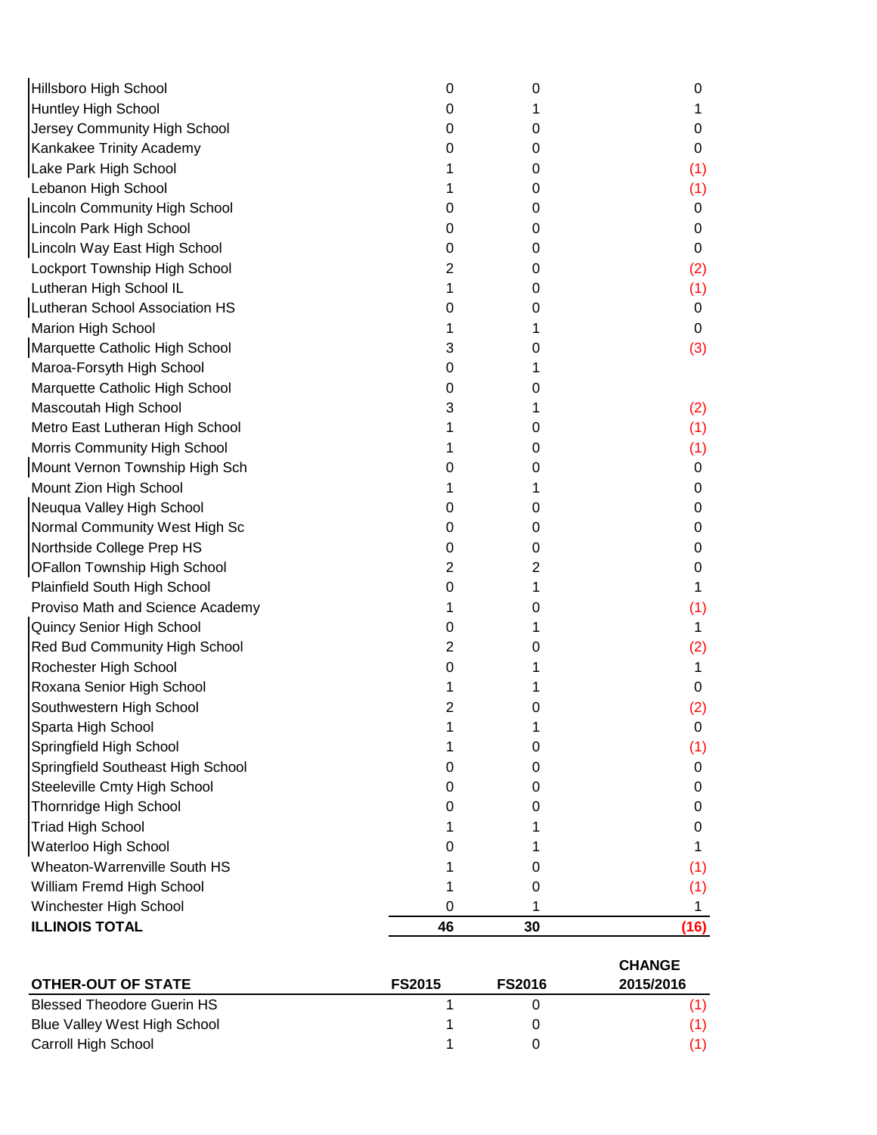| <b>ILLINOIS TOTAL</b>                | 46 | 30 | (16) |
|--------------------------------------|----|----|------|
| Winchester High School               | 0  |    | 1    |
| William Fremd High School            |    | 0  | (1)  |
| Wheaton-Warrenville South HS         |    | 0  | (1)  |
| Waterloo High School                 | 0  |    | 1    |
| <b>Triad High School</b>             |    |    | 0    |
| Thornridge High School               | O  | 0  | 0    |
| Steeleville Cmty High School         | 0  | 0  | 0    |
| Springfield Southeast High School    | 0  | 0  | 0    |
| Springfield High School              |    | 0  | (1)  |
| Sparta High School                   |    | 1  | 0    |
| Southwestern High School             | 2  | 0  | (2)  |
| Roxana Senior High School            |    |    | 0    |
| Rochester High School                | 0  |    | 1    |
| Red Bud Community High School        | 2  | 0  | (2)  |
| Quincy Senior High School            | 0  | 1  | 1    |
| Proviso Math and Science Academy     | 1  | 0  | (1)  |
| Plainfield South High School         | 0  |    | 1    |
| OFallon Township High School         | 2  | 2  | 0    |
| Northside College Prep HS            | 0  | 0  | 0    |
| Normal Community West High Sc        | O  | 0  | 0    |
| Neuqua Valley High School            | O  | 0  | 0    |
| Mount Zion High School               |    |    | 0    |
| Mount Vernon Township High Sch       | O  | 0  | 0    |
| Morris Community High School         |    | 0  | (1)  |
| Metro East Lutheran High School      |    | 0  | (1)  |
| Mascoutah High School                | 3  | 1  | (2)  |
| Marquette Catholic High School       | 0  | 0  |      |
| Maroa-Forsyth High School            | 0  |    |      |
| Marquette Catholic High School       | 3  | 0  | (3)  |
| Marion High School                   |    | 1  | 0    |
| Lutheran School Association HS       | 0  | 0  | 0    |
| Lutheran High School IL              | 1  | 0  | (1)  |
| Lockport Township High School        | 2  | 0  | (2)  |
| Lincoln Way East High School         | 0  | 0  | 0    |
| Lincoln Park High School             | 0  | 0  | 0    |
| <b>Lincoln Community High School</b> | O  | 0  | 0    |
| Lebanon High School                  |    | 0  | (1)  |
| Lake Park High School                |    | 0  | (1)  |
| Kankakee Trinity Academy             | O  | 0  | 0    |
| Jersey Community High School         | 0  | 0  | 0    |
| Huntley High School                  | 0  |    | 1    |
| Hillsboro High School                | 0  | 0  | 0    |

|                                   |               |               | <b>CHANGE</b> |
|-----------------------------------|---------------|---------------|---------------|
| <b>OTHER-OUT OF STATE</b>         | <b>FS2015</b> | <b>FS2016</b> | 2015/2016     |
| <b>Blessed Theodore Guerin HS</b> |               |               |               |
| Blue Valley West High School      |               |               |               |
| Carroll High School               |               |               |               |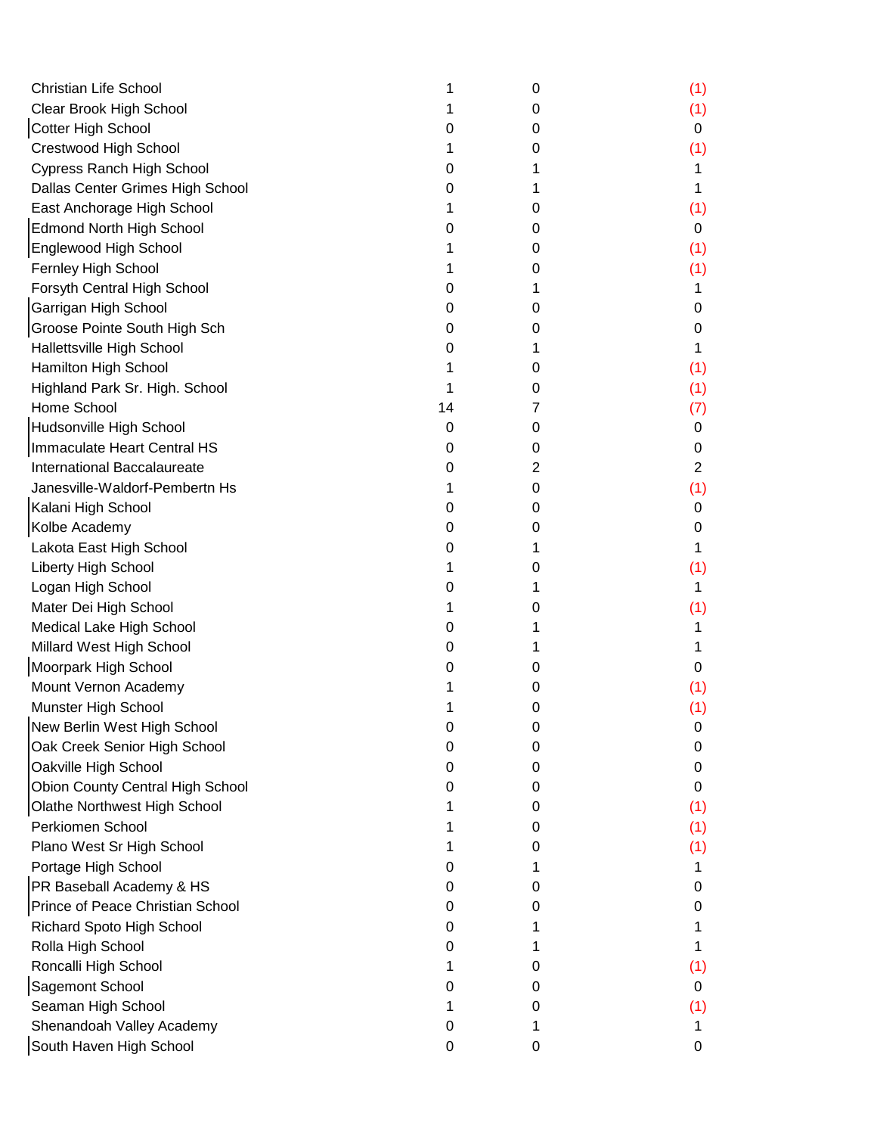| <b>Christian Life School</b>     |    | 0 | (1) |
|----------------------------------|----|---|-----|
| Clear Brook High School          |    | 0 | (1) |
| <b>Cotter High School</b>        | O  | 0 | 0   |
| Crestwood High School            |    | 0 | (1) |
| Cypress Ranch High School        | 0  |   |     |
| Dallas Center Grimes High School | 0  |   |     |
| East Anchorage High School       |    | 0 | (1) |
| <b>Edmond North High School</b>  | O  | 0 | 0   |
| Englewood High School            |    | 0 | (1) |
| Fernley High School              |    | 0 | (1) |
| Forsyth Central High School      | 0  |   | 1   |
| Garrigan High School             | 0  | 0 | 0   |
| Groose Pointe South High Sch     | 0  | 0 | O   |
| Hallettsville High School        | O  |   |     |
| Hamilton High School             |    | 0 | (1) |
| Highland Park Sr. High. School   |    | 0 | (1) |
| Home School                      | 14 | 7 | (7) |
| Hudsonville High School          | 0  | 0 | 0   |
| Immaculate Heart Central HS      | 0  | 0 | 0   |
| International Baccalaureate      | O  | 2 | 2   |
| Janesville-Waldorf-Pembertn Hs   |    | 0 | (1) |
| Kalani High School               | 0  | 0 | 0   |
| Kolbe Academy                    | O  | 0 | 0   |
| Lakota East High School          | 0  | 1 |     |
| Liberty High School              |    | 0 | (1) |
| Logan High School                | 0  |   | 1   |
| Mater Dei High School            |    | 0 | (1) |
| Medical Lake High School         | 0  |   |     |
| Millard West High School         | O  |   |     |
| Moorpark High School             | O  | 0 | 0   |
| Mount Vernon Academy             |    | 0 | (1) |
| Munster High School              |    | 0 | (1) |
| New Berlin West High School      | 0  | 0 | 0   |
| Oak Creek Senior High School     | 0  | 0 | Ω   |
| Oakville High School             | 0  | 0 | O   |
| Obion County Central High School | 0  | 0 | 0   |
| Olathe Northwest High School     |    | 0 | (1) |
| Perkiomen School                 |    | 0 | (1) |
| Plano West Sr High School        |    | 0 | (1) |
| Portage High School              | O  |   |     |
| PR Baseball Academy & HS         | 0  | 0 | O   |
| Prince of Peace Christian School | 0  | O | O   |
| <b>Richard Spoto High School</b> | 0  |   |     |
| Rolla High School                | 0  |   |     |
| Roncalli High School             |    | O | (1) |
| Sagemont School                  | 0  | 0 | 0   |
| Seaman High School               |    | 0 | (1) |
| Shenandoah Valley Academy        | 0  |   |     |
| South Haven High School          | 0  | 0 | 0   |